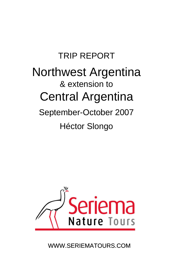# TRIP REPORT Northwest Argentina & extension to Central Argentina September-October 2007 Héctor Slongo



WWW.SERIEMATOURS.COM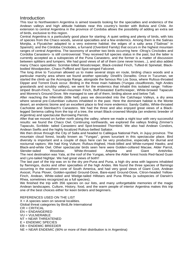## **Introduction**

This tour to Northwestern Argentina is aimed towards looking for the specialties and endemics of the Andean valleys and high altitude habitats near this country's border with Bolivia and Chile. An extension to central Argentina in the province of Cordoba allows the possibility of adding an extra set of birds, exclusive to this region.

Central Argentina is a particularly good place for starting: A quiet setting and plenty of birds, with lots of species from the Chaco woods, several specialties and a few endemics. Among them is the Salinas Monjita, a Flycatcher adapted to a very extreme habitat: the edges of a salty area ("Salinas" in Spanish); and the Córdoba Cinclodes, a furnarid (Ovenbird Family) that occurs in the highest mountain ranges of central Argentina. The taxonomy of another two birds occurring here -Olrog's Cinclodes and Cordoba Canastero- is still controversial: They received full species status in the past, but the latter is currently accepted as a subspecies of the Puna Canastero, and the former is a matter of discussion between splitters and lumpers. We had good views of all of them (one never knows...), and also added many Chaco specialties: Scimitar-billed Woodcreeper, Black-crested Finch, Tufted-tit Spinetail, Blackbodied Woodpecker, Chaco Puffbird and Spot-winged Falconet.

The long drive to Tucuman allowed us to make several stops en route, birding chaco woods and a particular marshy area where we found another specialty: Dinelli's Doradito. Once in Tucuman, we started the climb up the Aconquija Range, alongside the famous Rio Los Sosa, where Rufous-throated Dipper and Torrent Duck occur. Birding in the three main habitats (Yungas cloudforests, high Andes grasslands and scrubby valleys), we went for the endemics that inhabit this isolated range: Yellowstriped Brush-Finch, Tucuman-mountain Finch, Buff-breasted Earthcreeper, White-browed Tapaculo and Moreno's Ground-Dove. We managed to see all of them, birding above and below Tafi.

After reaching the Infiernillo (little hell) pass we descended into the Calchaqui Valleys, a dry area where several pre-Columbian cultures inhabited in the past. Here the dominant habitat is the Monte desert, an endemic biome and an excellent place to find more endemics: Sandy Gallito, White-throated Cacholote and Steinbach's Canastero. We had the three and also enjoyed great views of a Blacklegged Seriema calling from the top of a tree, the smart Black-crowned Monjita (an endemic breeder of Argentina) and spectacular Burrowing Parrots.

After that we moved on further north along the valley, where we made a night tour with very successful results: we found the Chaco Owl. Continuing northwards, we explored the valleys finding Zimmer's Tapaculo, Scribble- tailed Canastero and Spot-breasted Thornbird. We also had Andean Condors, Andean Swifts and the highly localized Rufous-bellied Saltator.

We then drove through the City of Salta and headed to Calilegua National Park, in Jujuy province. The mountain cloud forest, locally known as "Yungas", grows luxuriant in this spectacular place. Bird diversity is important and a couple of days here can be very productive, especially for diurnal and nocturnal raptors: We had King Vulture; Rufous-thighed, Hook-billed and White-rumped Hawks; and Black-and-white Owl. Other spectacular birds seen here were Golden-collared Macaw, Alder Parrot, Slender-tailed Woodstar, White-throated Antpitta and Giant Antshrike. The next destination was Yala, at the roof of the Yungas, where the Alder forest hosts Red-faced Guan and Lyre-tailed Nightjar. We had great views of both!!

The last part of the trip was on to the dry pre-Puna and Puna, a high dry area with lagoons inhabited by flamingos, ducks and other specialties of the high Andes. We found the three species of flamingo occurring in the southern cone of South America, and had very good views of Giant Coot, Andean Avocet, Puna Plover, Golden-spotted Ground-Dove, Bare-eyed Ground-Dove, Citron-headed Yellow-Finch, Andean, White-sided and Wedge-tailed Hillstars and Puna Rhea (a subspecies of Darwin's Rhea, sometimes recognized as a full species).

We finished the trip with 356 species on our lists, and many unforgettable memories of the magic Andean landscapes. Culture, History, food, and the warm people of interior Argentina makes this trip one of the best choices either for keen birders and beginners.

REFERENCES USED ON THE LIST  $X = A$  species seen on several localities. Global threat categories by BirdLife International CR = CRITICAL EN = ENDANGERED VU = VULNERABLE NT = NEAR THREATENED E = ENDEMIC SPECIES EB = ENDEMIC BREEDER NE = NEAR ENDEMIC (90% or more of their distribution is in Argentina)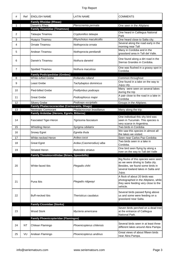| #            | Ref       | <b>ENGLISH NAME</b>                                                        | LATIN NAME                | COMMENTS                                                                                                                                                     |
|--------------|-----------|----------------------------------------------------------------------------|---------------------------|--------------------------------------------------------------------------------------------------------------------------------------------------------------|
|              |           | <b>Family Rheidae (Rheas)</b><br>Darwin's Rhea                             |                           |                                                                                                                                                              |
| $\mathbf{1}$ |           | <b>Family Tinamidae (Tinamous)</b>                                         | Pterocnemia pennata       | One seen in the Altiplano                                                                                                                                    |
| 2            |           | Tataupa Tinamou                                                            | Crypturellus tataupa      | One heard in Calilegua National<br>Park                                                                                                                      |
| 3            |           | Huayco Tinamou                                                             | Rhynchotus maculicollis   | One heard close to Salta city.                                                                                                                               |
| 4            |           | Ornate Tinamou                                                             | Nothoprocta ornata        | Several along the road early in the<br>morning near Tafi                                                                                                     |
| 5            |           | Andean Tinamou                                                             | Nothoprocta pentlandii    | Many in Cordoba and in the<br>grassland area in Tafi del Valle.                                                                                              |
| 6            |           | Darwin's Tinamou                                                           | Nothura darwinii          | One found along a dirt road in the<br>Sierras Grandes in Cordoba.                                                                                            |
| 7            |           | Spotted Tinamou                                                            | Nothura maculosa          | One was flushed in a grassy spot in<br>Cordoba                                                                                                               |
|              |           | <b>Family Podicipedidae (Grebes)</b>                                       |                           |                                                                                                                                                              |
| 8            |           | <b>White-tufted Grebe</b>                                                  | Rollandia rolland         | Common throughout<br>One found in a lake on the way to                                                                                                       |
| 9            |           | Least Grebe                                                                | Tachybaptus dominicus     | Jujuy city.<br>Many were seen on several lakes                                                                                                               |
| 10           |           | Pied-billed Grebe                                                          | Podilymbus podiceps       | during the trip                                                                                                                                              |
| 11           |           | <b>Great Grebe</b>                                                         | Podicephorus major        | A pair close to the road in a lake in<br>Cordoba                                                                                                             |
| 12           |           | <b>Silvery Grebe</b>                                                       | Podiceps occipitalis      | Groups in the Altiplano.                                                                                                                                     |
| 13           |           | <b>Family Phalacrocoracidae (Cormorants, Shags)</b><br>Neotropic Cormorant | Phalacrocorax brasilianus | Many along the trip.                                                                                                                                         |
|              |           | Family Ardeidae (Herons, Egrets, Bitterns)                                 |                           |                                                                                                                                                              |
| 14           |           | <b>Fasciated Tiger-Heron</b>                                               | Tigrisoma fasciatum       | One individual this shy bird was<br>seen in Tucumán. This species is<br>very scarce in Argentina.                                                            |
| 15           |           | <b>Whistling Heron</b>                                                     | Syrigma sibilatrix        | Two birds in Cordoba                                                                                                                                         |
| 16           |           | Snowy Egret                                                                | Egretta thula             | We saw this species in almost all<br>the lakes we visited.                                                                                                   |
| 17           |           | White-necked Heron                                                         | Ardea cocoi               | Seen near Carlos Paz-Cordoba                                                                                                                                 |
| 18           |           | <b>Great Egret</b>                                                         | Ardea (Casmerodius) alba  | Two birds seen in a lake in<br>Cordoba.                                                                                                                      |
| 19           |           | <b>Striated Heron</b>                                                      | <b>Butorides striatus</b> | One bird seen flying by along a<br>river on the way to Tafi del Valle                                                                                        |
|              |           | Family Threskiornithidae (Ibises, Spoonbills)                              |                           |                                                                                                                                                              |
| 20           |           | White-faced Ibis                                                           | Plegadis chihi            | Big flocks of this species were seen<br>as we were driving to Salta city.<br>Besides, we found some birds in<br>several lowland lakes in Salta and<br>Jujuy. |
| 21           |           | Puna Ibis                                                                  | Plegadis ridgwayi         | A flock of about 20 birds was<br>photographed in the Altiplano, while<br>they were feeding very close to the<br>vehicle.                                     |
| 22           |           | <b>Buff-necked Ibis</b>                                                    | Theristicus caudatus      | Several birds passed flying above<br>us and some were feeding on a<br>grassland near Salta.                                                                  |
|              |           | <b>Family Ciconidae (Storks)</b>                                           |                           |                                                                                                                                                              |
| 23           |           | <b>Wood Stork</b>                                                          | Mycteria americana        | Seven birds perched on a dead tree<br>at the entrance of Calilegua<br>National Park.                                                                         |
|              |           | <b>Family Phoenicopteridae (Flamingos)</b>                                 |                           |                                                                                                                                                              |
| 24           | <b>NT</b> | Chilean Flamingo                                                           | Phoenicopterus chilensis  | Several birds seen in at least three<br>different lakes around Abra Pampa                                                                                    |
| 25           | VU        | Andean Flamingo                                                            | Phoenicopterus andinus    | Great views of about fifteen birds<br>near Abra Pampa.                                                                                                       |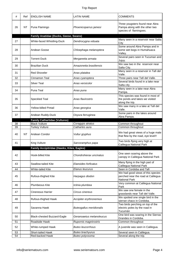| #        | Ref       | <b>ENGLISH NAME</b>                               | <b>LATIN NAME</b>                          | <b>COMMENTS</b>                                                                                           |
|----------|-----------|---------------------------------------------------|--------------------------------------------|-----------------------------------------------------------------------------------------------------------|
| 26       | <b>NT</b> | Puna Flamingo                                     | Phoenicoparrus jamesi                      | Three yougsters found near Abra<br>Pampa along with the other two<br>species of flamingoes.               |
|          |           | Family Anatidae (Ducks, Geese, Swans)             |                                            |                                                                                                           |
| 27       |           | White-faced Whistling-Duck                        | Dendrocygna viduata                        | Many seen in a reservoir near Salta<br>City                                                               |
| 28       |           | Andean Goose                                      | Chloephaga melanoptera                     | Some around Abra Pampa and in<br>some wet bogs in Humahuaca<br>Valley.                                    |
| 29       |           | <b>Torrent Duck</b>                               | Merganetta armata                          | Several pairs seen in Tucuman and<br>Jujuy.                                                               |
| 30       |           | <b>Brazilian Duck</b>                             | Amazonetta brasiliensis                    | We saw two in the reservoir near<br>Salta City.                                                           |
| 31       |           | <b>Red Shoveler</b>                               | Anas platalea                              | Many seen in a reservoir in Tafi del<br>Valle.                                                            |
| 32       |           | Cinnamon Teal                                     | Anas cyanoptera                            | Three pairs near Tafi del Valle.                                                                          |
| 33       |           | Silver Teal                                       | Anas versicolor                            | Several birds found in a lake near<br>Salta city.                                                         |
| 34       |           | Puna Teal                                         | Anas puna                                  | Many seen in a lake near Abra<br>Pampa.                                                                   |
| 35       |           | Speckled Teal                                     | Anas flavirostris                          | This species was found in most of<br>the ponds and lakes we visited<br>along the trip.                    |
| 36       |           | Yellow-billed Pintail                             | Anas georgica                              | We saw many in a lake at Tafi del<br>Valle.                                                               |
| 37       |           | Andean Ruddy-Duck                                 | Oxyura ferruginea                          | Some pairs in the lakes around<br>Abra Pampa.                                                             |
|          |           | <b>Family Cathartidae (Vultures)</b>              |                                            |                                                                                                           |
| 38       |           | <b>Black Vulture</b>                              | Coragyps atratus                           | Common throughout                                                                                         |
| 39       |           | <b>Turkey Vulture</b>                             | Cathartes aura                             | Common throughout                                                                                         |
|          |           |                                                   |                                            |                                                                                                           |
| 40       | <b>NT</b> | Andean Condor                                     | Vultur gryphus                             | We had great views of a huge male<br>that flew by the road, eye level!!                                   |
| 41       |           | King Vulture                                      | Sarcoramphus papa                          | Two birds flying very high at<br>Calilegua National Park                                                  |
|          |           | <b>Family Accipitridae (Hawks, Kites, Eagles)</b> |                                            |                                                                                                           |
| 42       |           | Hook-billed Kite                                  | Chondrohierax uncinatus                    | One seen soaring above the<br>canopy in Calilegua National Park                                           |
| 43       |           | <b>Swallow-tailed Kite</b>                        | Elanoides forficatus                       | Many flying in the high part of<br>Calilegua National Park                                                |
| 44       |           | <b>White-tailed Kite</b>                          | Elanus leucurus                            | Seen in Cordoba and Tafi                                                                                  |
| 45       |           | Rufous-thighed Kite                               | Harpagus diodon                            | We had good views of this species<br>perched near the road at Calilegua                                   |
| 46       |           | Plumbeous Kite                                    | Ictinia plumbea                            | <b>National Park</b><br>Very common at Calilegua National<br>Park                                         |
| 47       |           | Cinereous Harrier                                 | Circus cinereus                            | We saw one female in the<br>grasslands near Tafi del Valle.                                               |
| 48       |           | Rufous-thighed Hawk                               | Accipiter erythronemius                    | We spotted one single bird in the                                                                         |
| 49       |           | Savanna Hawk                                      | <b>Buteogallus meridionalis</b>            | sierran chaco in Cordoba.<br>Two birds perching on top of the<br>electric poles by the road in<br>Tucumán |
| 50       |           | <b>Black-chested Buzzard-Eagle</b>                | Geranoaetus melanoleucus                   | One bird was soaring in the Sierras<br>Grandes in Cordoba.                                                |
| 51       |           | Roadside Hawk                                     | Rupornis magnirostris                      | Common throughout                                                                                         |
| 52       |           | White-rumped Hawk                                 | <b>Buteo leucorrhous</b>                   | A juvenile was seen in Calilegua.                                                                         |
| 53<br>54 |           | Short-tailed Hawk<br>Red-backed Hawk              | <b>Buteo brachyurus</b><br>Buteo polyosoma | Several seen in Calilegua.<br>Several along the trip.                                                     |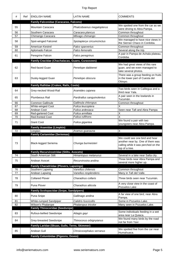| #  | Ref | <b>ENGLISH NAME</b>                              | <b>LATIN NAME</b>          | COMMENTS                                                                                                                    |
|----|-----|--------------------------------------------------|----------------------------|-----------------------------------------------------------------------------------------------------------------------------|
|    |     | <b>Family Falconidae (Caracaras, Falcons)</b>    |                            |                                                                                                                             |
| 55 |     | Mountain Caracara                                | Phalcoboenus megalopterus  | We spotted one from the car as we<br>were driving to Abra Pampa.                                                            |
| 56 |     | Southern Caracara                                | Caracara plancus           | Common throughout                                                                                                           |
| 57 |     | Chimango Caracara                                | Milvago chimango           | Common throughout                                                                                                           |
| 58 |     | Spot-winged Falconet                             | Spiziapteryx circumcinctus | We managed to have nice views in<br>the Sierran Chaco in Cordoba.                                                           |
| 59 |     | American Kestrel                                 | Falco sparverius           | Common throughout                                                                                                           |
| 60 |     | Aplomado Falcon                                  | Falco femoralis            | Several along the trip.                                                                                                     |
| 61 |     | Peregrine Falcon                                 | Falco peregrinus           | A pair in Pampa de Achala plateau,<br>Cordoba.                                                                              |
|    |     | Family Cracidae (Chachalacas, Guans, Curassows)  |                            |                                                                                                                             |
| 62 |     | Red-faced Guan                                   | Penelope dabbenei          | We had great views of this rare<br>guan, and we even managed to<br>take several photos.                                     |
| 63 |     | Dusky-legged Guan                                | Penelope obscura           | There was a group feeding on fruits<br>in the lower part of Cuesta del<br>Obispo.                                           |
|    |     | Family Rallidae (Crakes, Rails, Coots)           |                            |                                                                                                                             |
| 64 |     | Grey-necked Wood-Rail                            | Aramides cajanea           | Two birds seen in Calilegua and a<br>third near Yala.                                                                       |
| 65 |     | Plumbeous Rail                                   | Pardirallus sanguinolentus | A pair seen in the lowlands in<br>Tucumán.                                                                                  |
| 66 |     | Common Gallinule                                 | Gallinula chloropus        | Common throughout                                                                                                           |
| 67 |     | White-winged Coot                                | Fulica leucoptera          | X                                                                                                                           |
| 68 |     | Andean Coot                                      | Fulica ardesiaca           | Seen near Tafi and Abra Pampa                                                                                               |
| 69 |     | Red-gartered Coot                                | Fulica armillata           | Χ                                                                                                                           |
| 70 |     | Red-fronted Coot                                 | Fulica rufifrons           | X                                                                                                                           |
| 71 |     | <b>Giant Coot</b>                                | Fulica gigantea            | We found a pair with two<br>youngsters near Abra Pampa.                                                                     |
|    |     | <b>Family Aramidae (Limpkin)</b>                 |                            |                                                                                                                             |
|    |     |                                                  |                            |                                                                                                                             |
| 72 |     | Limpkin                                          | Aramus guarauna            | X                                                                                                                           |
|    |     | <b>Family Cariamidae (Seriemas)</b>              |                            |                                                                                                                             |
| 73 |     | <b>Black-legged Seriema</b>                      | Chunga burmeisteri         | We could see one bird and hear<br>another near by. One of them was<br>calling while it was perched on the<br>top of a tree. |
|    |     | <b>Family Recurvirostridae (Stilts, Avocets)</b> |                            |                                                                                                                             |
| 74 |     | South American Stilt                             | Himantopus melanurus       | Several in a lake near Salta city.                                                                                          |
| 75 |     | Andean Avocet                                    | Recurvirostra andina       | Three birds near Abra Pampa and<br>several more higher up.                                                                  |
|    |     | <b>Family Charadriidae (Plovers, Lapwings)</b>   |                            |                                                                                                                             |
| 76 |     | Southern Lapwing                                 | Vanellus chilensis         |                                                                                                                             |
| 77 |     | Andean Lapwing                                   | Vanellus resplendens       | Common throughout<br>Many in Tafi del Valle.                                                                                |
| 78 |     | <b>Collared Plover</b>                           | Charadrius collaris        | Three birds seen near Tucumán.                                                                                              |
| 79 |     | Puna Plover                                      | Charadrius alticola        | A very close view in the coast of<br>Pozuelos Lake                                                                          |
|    |     | <b>Family Scolopacidae (Snipe, Sandpipers)</b>   |                            |                                                                                                                             |
| 80 |     | Puna Snipe                                       | Gallinago andina           | A far view of one bird, near Abra<br>Pampa.                                                                                 |
| 81 |     | White-rumped Sandpiper                           | Calidris fuscicollis       | Some in Pozuelos Lake.                                                                                                      |
| 82 |     | Wilson's Phalarope                               | Phalaropus tricolor        | Many seen in Pozuelos Lake.                                                                                                 |
|    |     | <b>Family Thinocoridae (Seedsnipe)</b>           |                            |                                                                                                                             |
| 83 |     | Rufous-bellied Seedsnipe                         | Attagis gayi               | Some individuals feeding in a wet<br>area near La Quiaca.                                                                   |
| 84 |     | Grey-breasted Seedsnipe                          | Thinocorus orbignyianus    | We found many birds by the road<br>not far from Yavi                                                                        |
|    |     | Family Laridae (Skuas, Gulls, Terns, Skimmer)    |                            |                                                                                                                             |
| 85 |     | Andean Gull                                      | Chroicocephalus serranus   | We spotted five from the car near<br>Humahuaca.                                                                             |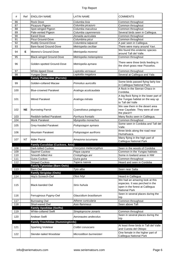| #   | Ref       | <b>ENGLISH NAME</b>                      | <b>LATIN NAME</b>        | <b>COMMENTS</b>                                                                                      |
|-----|-----------|------------------------------------------|--------------------------|------------------------------------------------------------------------------------------------------|
| 86  |           | <b>Rock Dove</b>                         | Columba livia            | Common throughout                                                                                    |
| 87  |           | Picazuro Pigeon                          | Columba picazuro         | Common throughout                                                                                    |
| 88  |           | Spot-winged Pigeon                       | Columba maculosa         | Common throughout                                                                                    |
| 89  |           | Pale-vented Pigeon                       | Columba cayennensis      | Several birds seen in Calilegua.                                                                     |
| 90  |           | <b>Eared Dove</b>                        | Zenaida auriculata       | Common throughout                                                                                    |
| 91  |           | Picui Ground-Dove                        | Columbina picui          | Common throughout                                                                                    |
|     |           | Ruddy Ground-Dove                        | Columbina talpacoti      | A pair seen in Calilegua.                                                                            |
| 92  |           |                                          |                          |                                                                                                      |
| 93  |           | Bare-faced Ground-Dove                   | Metriopelia ceciliae     | There were many around Yavi.                                                                         |
| 94  | E         | Moreno's Ground-Dove                     | Metriopelia morenoi      | We found this endemic species<br>around Tafi del Valle.                                              |
| 95  |           | <b>Black-winged Ground-Dove</b>          | Metriopelia melanoptera  | Common throughout                                                                                    |
| 96  |           | Golden-spotted Ground-Dove               | Metriopelia aymara       | There were three birds feeding in<br>the short grass near Pozuelos.                                  |
| 97  |           | <b>White-tipped Dove</b>                 | Leptotila verreauxi      | Common throughout                                                                                    |
| 98  |           | <b>Yungas Dove</b>                       | Leptotila megalura       | Several at Calilegua and Yala                                                                        |
|     |           | <b>Family Psittacidae (Parrots)</b>      |                          |                                                                                                      |
| 99  |           | Golden-collared Macaw                    | Primolius auricollis     | Some birds passed flying fairly low<br>in Calilegua National Park.                                   |
| 100 |           | <b>Blue-crowned Parakeet</b>             | Aratinga acuticaudata    | A flock in the Sierran Chaco in<br>Cordoba.                                                          |
| 101 |           | <b>Mitred Parakeet</b>                   | Aratinga mitrata         | A big flock flying in the lower part of<br>the Yungas habitat on the way up<br>to Tafi del Valle     |
| 102 | <b>NE</b> | <b>Burrowing Parrot</b>                  | Cyanoliseus patagonus    | We saw them in the desert area<br>near Cayafate. They were all over<br>the place!!!                  |
| 103 |           | <b>Reddish-bellied Parakeet</b>          | Pyrrhura frontalis       | Many flocks seen in Calilegua.                                                                       |
| 104 |           | <b>Monk Parakeet</b>                     | Myiopsitta monachus      | Common throughout                                                                                    |
| 105 |           | Grey-hooded Parakeet                     | Psilopsiagon aymara      | Some seen in Cordoba and Tafi del<br>Valle.                                                          |
| 106 |           | Mountain Parakeet                        | Psilopsiagon aurifrons   | three birds along the road near<br>Humahuaca.                                                        |
| 107 | <b>NT</b> | <b>Alder Parrot</b>                      | Amazona tucumana         | Many flying in the high part of<br>Calilegua National Park                                           |
|     |           | <b>Family Cuculidae (Cuckoos, Anis)</b>  |                          |                                                                                                      |
| 108 |           | Dark-billed Cuckoo                       | Coccyzus melacoryphus    | Seen in the woods of Cordoba                                                                         |
| 109 |           | Squirrel Cuckoo                          | Piaya cayana             | Common in the Yungas habitats                                                                        |
| 110 |           | Smooth-billed Ani                        | Crotophaga ani           | Some in lowland areas in NW                                                                          |
| 111 |           | Guira Cuckoo                             | Guira guira              | Common throughout                                                                                    |
| 112 |           | <b>Striped Cuckoo</b>                    | Tapera naevia            | Heard and seen in Cordoba                                                                            |
|     |           | <b>Family Tytonidae (Barn Owls)</b>      |                          |                                                                                                      |
| 113 |           | <b>Barn Owl</b>                          | Tyto alba                | Seen near Salta                                                                                      |
|     |           | <b>Family Strigidae (Owls)</b>           |                          |                                                                                                      |
| 114 |           | Hoy's Screech-Owl                        | Otus höyi                | Heard in Calilegua                                                                                   |
| 115 |           | <b>Black-banded Owl</b>                  | Strix huhula             | We had an amazing look at this<br>especies. It was perched in the<br>open in the forest at Calilegua |
| 116 |           | Ferruginous Pygmy-Owl                    | Glaucidium brasilianum   | <b>National Park</b><br>Seen in several places during the<br>trip                                    |
| 117 |           | <b>Burrowing Owl</b>                     | Athene cunicularia       | Common throughout                                                                                    |
| 118 |           | Short-eared Owl                          | Asio flammeus            | Seen above Tafi                                                                                      |
|     |           |                                          |                          |                                                                                                      |
|     |           | <b>Family Apodidae (Swifts)</b>          |                          |                                                                                                      |
| 119 |           | White-collared Swift                     | Streptoprocne zonaris    | Common throughout                                                                                    |
| 120 |           | Andean Swift                             | Aeronautes andecolus     | Seen in several places during the<br>trip                                                            |
|     |           | <b>Family Trochilidae (Hummingbirds)</b> |                          |                                                                                                      |
| 121 |           | Sparking Violetear                       | Colibri coruscans        | At least three birds in Tafi del Valle<br>and Cuesta del Obispo                                      |
| 122 |           | Slender-tailed Woodstar                  | Microstilbon burmeisteri | One female in the higher part of<br>Calilegua National Park                                          |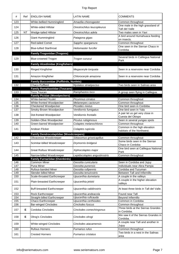| #          | Ref       | <b>ENGLISH NAME</b>                                    | <b>LATIN NAME</b>                            | <b>COMMENTS</b>                                            |
|------------|-----------|--------------------------------------------------------|----------------------------------------------|------------------------------------------------------------|
| 123        |           | White-bellied Hummingbird                              | Amazilia chionogaster                        | Common throughout                                          |
| 124        |           | <b>White-sided Hillstar</b>                            | Oreotrochilus leucopleurus                   | One male in the high grassland of<br>Tafi del Valle        |
| 125        | <b>NT</b> | Wedge-tailed Hillstar                                  | Oreotrochilus adela                          | Two males seen in Yavi                                     |
| 126        |           | Giant Hummingbird                                      | Patagona gigas                               | A bird around Humahuaca feeding<br>on insects.             |
| 127        |           | <b>Red-tailed Comet</b>                                | Sappho sparganura                            | Common throughout                                          |
| 128        |           | <b>Blue-tufted Starthroat</b>                          | Heliomaster furcifer                         | One seen in the Sierran Chaco in                           |
|            |           |                                                        |                                              | Cordoba                                                    |
|            |           | <b>Family Trogonidae (Trogons)</b>                     |                                              |                                                            |
| 129        |           | <b>Blue-crowned Trogon</b>                             | Trogon curucui                               | Several birds in Calilegua National<br>Park                |
|            |           | <b>Family Alcedinidae (Kingfishers)</b>                |                                              |                                                            |
| 130        |           | Ringed Kingfisher                                      | Megaceryle torquata                          | Seen in a reservoire near Cordoba                          |
| 131        |           | Amazon Kingfisher                                      | Chloroceryle amazona                         | Seen in a reservoire near Cordoba                          |
|            |           | Family Bucconidae (Puffbirds, Nunlets)                 |                                              |                                                            |
| 132        |           | Chaco Puffbird<br><b>Family Ramphastidae (Toucans)</b> | Nystalus striatipectus                       | Two birds seen in Salinas area                             |
| 133        |           | <b>Toco Toucan</b>                                     | Ramphastos toco                              | A group seen flying in Calilegua.                          |
|            |           | <b>Family Picidae (Woodpeckers)</b>                    |                                              |                                                            |
| 134        |           | <b>White-barred Piculet</b>                            | Picumnus cirratus                            | Common throughout                                          |
| 135        |           | White-fronted Woodpecker                               | Melanerpes cactorum                          | Common throughout                                          |
| 136        |           | Checkered Woodpecker                                   | Picoides mixtus                              | One bird seen in Cordoba.                                  |
| 137        |           | Smoky-Brown Woodpecker                                 | Veniliornis fumigatus                        | One bird seen in Yala                                      |
| 138        |           | Dot-fronted Woodpecker                                 | Veniliornis frontalis                        | A pair let us get very close in<br>Cuesta del Obispo       |
| 139        |           | Golden-Olive Woodpecker                                | Piculus rubiginosus                          | Seen in several yungas spots                               |
| 140        |           | Green-barred Woodpecker                                | Colaptes melanochloros                       | Common throughout                                          |
|            |           |                                                        |                                              |                                                            |
| 141        |           | Andean Flicker                                         | Colaptes rupicola                            | Common in the high elevation<br>habitats of the Northwest. |
|            |           | <b>Family Dendrocolaptidae (Woodcreepers)</b>          |                                              |                                                            |
| 142        |           | Olivaceous Woodcreeper                                 | Sittasomus griseicapillus                    | Common throughout                                          |
| 143        |           | Scimitar-billed Woodcreeper                            | Drymornis bridgesii                          | Some birds seen in the Sierran<br>Chaco in Cordoba         |
| 144        |           | <b>Great Rufous Woodcreeper</b>                        | Xiphocolaptes major                          | One bird seen at Calilegua National<br>Park                |
| 145        |           | Narrow-billed Woodcreeper                              | Lepidocolaptes angustirostris                | Common throughout                                          |
|            |           | <b>Family Furnariidae (Ovenbirds)</b>                  |                                              |                                                            |
| 146        |           | Common Miner                                           | Geositta cunicularia                         | Seen in Cordoba and Jujuy                                  |
| 147        |           | Puna Miner                                             | Geositta punensis                            | Individuals near Abra Pampa                                |
| 148        |           | Rufous-banded Miner<br>Slender-billed Miner            | Geositta rufipennis<br>Geositta tenuirostris | Cordoba and Tucuman                                        |
| 149<br>150 |           | Scale-throated Earthcreeper                            | Upucerthia dumetaria                         | Between Tafi and Infiernillo<br>A couple in the valleys    |
| 151        |           | Plain-breasted Earthcreeper                            | Upucerthia jelskii                           | A couple in the higher elevation<br>valleys                |
| 152        |           | <b>Buff-breasted Earthcreeper</b>                      | Upucerthia validirostris                     | At least three birds in Tafi del Valle.                    |
| 153        |           | Rock Earthcreeper                                      | Upucerthia andeacola                         | Found near Tafi                                            |
| 154        |           | Straight-billed Earthcreeper                           | Upucerthia ruficauda                         | Beyond Infiernillo                                         |
| 155        |           | Chaco Earthcreeper                                     | Upucerthia certhioides                       | Common in Cordoba                                          |
| 156        |           | <b>Bar-winged Cinclodes</b>                            | Cinclodes fuscus                             | Common throughout                                          |
| 157        | Е         | Cordoba Cinclodes                                      | Cinclodes comechingonus                      | Three birds at the Sierras Grandes<br>in Cordoba.          |
| 158        | Е         | Olrog's Cinclodes                                      | Cinclodes olrogi                             | We saw it of the Sierras Grandes in<br>Cordoba.            |
| 159        |           | <b>White-winged Cinclodes</b>                          | Cinclodes atacamensis                        | A couple near Tafi and another in<br>Jujuy                 |
| 160        |           | Rufous Hornero                                         | Furnarius rufus                              | Common throughout<br>Two birds in a nest in the Salinas    |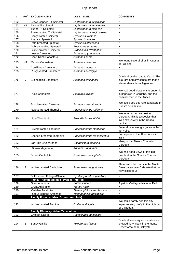| #   | Ref       | <b>ENGLISH NAME</b>                             | <b>LATIN NAME</b>           | <b>COMMENTS</b>                                                                                             |
|-----|-----------|-------------------------------------------------|-----------------------------|-------------------------------------------------------------------------------------------------------------|
| 162 |           | Brown-capped Tit-Spinetail                      | Leptasthenura fuliginiceps  | X                                                                                                           |
| 163 | <b>NT</b> | Tawny Tit-spinetail                             | Leptasthenura yanasensis    | X                                                                                                           |
| 164 |           | <b>Tufted Tit-Spinetail</b>                     | Leptasthenura platensis     | X                                                                                                           |
| 165 |           | Plain-mantled Tit-Spinetail                     | Leptasthenura aegithaloides | X                                                                                                           |
| 166 |           | Sooty-fronted Spinetail                         | Synallaxis frontalis        | X                                                                                                           |
| 167 |           | Azara's Spinetail                               | Synallaxis azarae           | $\overline{\mathsf{x}}$                                                                                     |
| 168 |           | Pale-breasted Spinetail                         | Synallaxis albescens        | X                                                                                                           |
| 169 |           | Ochre-cheeked Spinetail                         | Poecilurus scutatus         | X                                                                                                           |
| 170 |           | <b>Stripe-crowned Spinetail</b>                 | Cranioleuca pyrrhophia      | X                                                                                                           |
| 171 |           | Lesser Canastero                                | Asthenes pyrrholeuca        |                                                                                                             |
| 172 |           | Short-billed Canastero                          | Asthenes baeri              | X                                                                                                           |
| 173 | <b>NT</b> | Maquis Canastero                                | Asthenes heterura           | We found several birds in Cuesta<br>del Obispo                                                              |
| 174 |           | Cordilleran Canastero                           | Asthenes modesta            | Χ                                                                                                           |
| 175 |           | Rusty-vented Canastero                          | Asthenes dorbignyi          | $\overline{\mathsf{x}}$                                                                                     |
| 176 | Е         | Steinbach's Canastero                           | Asthenes steinbachi         | One bird by the road to Cachi. This<br>is a rare and shy canastero that is<br>also endemic from Argentina.  |
| 177 |           | Puna Canastero                                  | Asthenes sclateri           | We had good views of the endemic<br>supspecies in Cordoba, and the<br>nominal form in the Andes.            |
| 178 |           | Scribble-tailed Canastero                       | Asthenes maculicauda        | We could see this rare canastero in<br>Cuesta del Obispo                                                    |
| 179 |           | Rufous-fronted Thornbird                        | Phacellodomus rufifrons     | X                                                                                                           |
| 180 |           | Little Thornbird                                | Phacellodomus sibilatrix    | We found an active nest in<br>Cordoba. This is a species that<br>lives exclusively in the Chaco<br>habitat. |
| 181 |           | <b>Streak-fronted Thornbird</b>                 | Phacellodomus striaticeps   | Several pairs along a gulley in Tafi<br>del Valle.                                                          |
| 182 |           | Spotted-breasted Thornbird                      | Phacellodomus maculipectus  | Some pairs in the Alder forest in<br>Yala                                                                   |
| 183 |           | Lark-like Brushrunner                           | Coryphistera alaudina       | Many in the Sierran Chaco in<br>Cordoba                                                                     |
| 184 |           | Firewood-gatherer                               | Anumbius annumbi            | х                                                                                                           |
| 185 |           | <b>Brown Cacholote</b>                          | Pseudoseisura lophotes      | We had good views of this big<br>ovenbird in the Sierran Chaco in<br>Cordoba                                |
| 186 | Е         | White-throated Cacholote                        | Pseudoseisura gutturalis    | There were two pairs in the Monte<br>Desert area near Cafayate that got<br>very close to us.                |
| 187 |           | <b>Buff-browed Foliage-Gleaner</b>              | Syndactyla rufosuperciliata | X                                                                                                           |
|     |           | <b>Family Thamnophilidae (Typical Antbirds)</b> |                             |                                                                                                             |
| 188 |           | <b>Giant Antshrike</b>                          | Batara cinerea              | A pair in Calilegua National Park                                                                           |
| 189 |           | <b>Great Antshrike</b>                          | Taraba major                | Χ                                                                                                           |
| 190 |           | Variable Antshrike                              | Thamnophilus caerulescens   | X                                                                                                           |
| 191 |           | Rufous-capped Antshrike                         | Thamnophilus ruficapillus   | X                                                                                                           |
|     |           | <b>Family Formicariidae (Ground Antbirds)</b>   |                             |                                                                                                             |
| 192 |           | White-throated Antpitta                         | Grallaria albigula          | We could hardly see this shy<br>especies very brefly in the high part<br>of Calilegua.                      |
|     |           | <b>Family Rhinocryptidae (Tapaculos)</b>        |                             |                                                                                                             |
| 193 |           | <b>Crested Gallito</b>                          | Rhinocrypta lanceolata      | Χ                                                                                                           |
| 194 | Е         | Sandy Gallito                                   | Teledromas fuscus           | One bird was very cooperative and<br>showed very nicely in the Monte<br>Desert area near Cafayate.          |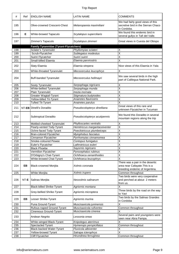| #   | Ref       | <b>ENGLISH NAME</b>                           | <b>LATIN NAME</b>              | <b>COMMENTS</b>                                                                                     |
|-----|-----------|-----------------------------------------------|--------------------------------|-----------------------------------------------------------------------------------------------------|
| 195 |           | Olive-crowned Crescent-Chest                  | Melanopareia maximiliani       | We had fairly good views of this<br>secretive bird in the Sierran Chaco<br>in Cordoba.              |
| 196 | Е         | White-browed Tapaculo                         | Scytalopus superciliaris       | We found this endemic bird in<br>several gullys in Tafi del Valle.                                  |
| 197 |           | Zimmer's Tapaculo                             | Scytalopus zimmeri             | Great views in Cuesta del Obispo                                                                    |
|     |           | <b>Family Tyrannidae (Tyrant-Flycatchers)</b> |                                |                                                                                                     |
| 198 |           | Sclater's Tyrannulet                          | Phyllomyias sclateri           | X                                                                                                   |
| 199 |           | Scrub-Flycatcher                              | Sublegatus modestus            | X                                                                                                   |
| 200 |           | Suiriri Flycatcher                            | Suiriri suiriri                | Χ                                                                                                   |
| 201 |           | Small-billed Elaenia                          | Elaenia parvirostris           | X                                                                                                   |
|     |           |                                               |                                |                                                                                                     |
| 202 |           | Slaty Elaenia                                 | Elaenia strepera               | Nice views of this Elaenia in Yala                                                                  |
| 203 |           | White-throated Tyrannulet                     | Mecocerculus leucophrys        | X                                                                                                   |
| 204 |           | <b>Buff-banded Tyrannulet</b>                 | Mecocerculus hellmayri         | We saw several birds in the high<br>part of Calilegua National Park.                                |
| 205 |           | Sooty Tyrannulet                              | Serpophaga nigricans           | Χ                                                                                                   |
| 206 |           | White-bellied Tyrannulet                      | Serpophaga munda               | Χ                                                                                                   |
| 207 |           | Plain Tyrannulet                              | Inezia inornata                | X                                                                                                   |
| 208 |           | Greater Wagtail-Tyrant                        | Stigmatura budytoides          | X                                                                                                   |
| 209 |           | Yellow-billed Tit-Tyrant                      | Anairetes flavirostris         | X                                                                                                   |
| 210 |           | <b>Tufted Tit-Tyrant</b>                      | Anairetes parulus              | X                                                                                                   |
|     |           |                                               |                                | Great views of this rare and                                                                        |
| 211 |           | NT-EB Dinelli's Doradito                      | Pseudocolopteryx dinelliana    | unknown Flycatcher in Tucuman                                                                       |
| 212 |           | Subtropical Doradito                          | Pseudocolopteryx acutipennis   | We found this Doradito in several<br>mountain regions along the trip                                |
| 213 |           | Mottled-cheeked Tyrannulet                    | Phylloscartes ventralis        | X                                                                                                   |
| 214 |           | Pearly-vented Tody-Tyrant                     | Hemitriccus margaritaceiventer | X                                                                                                   |
| 215 |           | Ochre-faced Tody-Tyrant                       | Poecilotriccus plumbeiceps     | X                                                                                                   |
| 216 |           | <b>Bran-colored Flycatcher</b>                | Myiophobus fasciatus           | $\overline{\mathsf{x}}$                                                                             |
| 217 |           | Cinnamon Flycatcher                           | Pyrrhomyias cinnamomea         | X                                                                                                   |
| 218 |           | Smoke-coloured Pewee                          | Contopus fumigatus             | X                                                                                                   |
| 219 |           | Euler's Flycatcher                            | Lathrotriccus euleri           | X                                                                                                   |
| 220 |           | Black Phoebe                                  | Sayornis nigricans             | х                                                                                                   |
| 221 |           | Vermilion Flycatcher                          | Pyrocephalus rubinus           | $\overline{\mathsf{x}}$                                                                             |
| 222 |           | D'Orbigny's Chat-Tyrant                       | Ochthoeca oenanthoides         | X                                                                                                   |
| 223 |           | White-browed Chat-Tyrant                      | Ochthoeca leucophrys           | X                                                                                                   |
| 224 | <b>EB</b> | <b>Black-crowned Monjita</b>                  | Xolmis coronata                | There was a pair in the desertic<br>area near Cafayate. This is a<br>breeding endemic of Argentina. |
| 225 |           | White Monjita                                 | Xolmis irupero                 | Common throughout                                                                                   |
| 226 | NT-E      | Salinas Monjita                               | Neoxolmis salinarum            | Two birds were very cooperative<br>and perched at about 2 meters<br>from us.                        |
| 227 |           | <b>Black-billed Shrike-Tyrant</b>             | Agriornis montana              | X                                                                                                   |
| 228 |           | Grey-bellied Shrike-Tyrant                    | Agriornis microptera           | Three birds by the road on the way                                                                  |
|     |           |                                               |                                | to Yavi<br>Two birds by the Salinas Grandes                                                         |
| 229 | EB        | Lesser Shrike-Tyrant                          | Agriornis murina               | in Cordoba                                                                                          |
| 230 |           | Puna Ground-Tyrant                            | Muscisaxicola juninensis       | Χ                                                                                                   |
| 231 |           | Rufous-naped Ground-Tyrant                    | Muscisaxicola rufivertex       | Common throughout                                                                                   |
| 232 |           | Cinereous Ground-Tyrant                       | Muscisaxicola cinerea          | Χ                                                                                                   |
| 233 |           | Andean Negrito                                | Lessonia oreas                 | Several pairs and youngsters were<br>seen near Abra Pampa.                                          |
| 234 |           | White-winged Black-Tyrant                     | Knipolegus aterrimus           | X                                                                                                   |
| 235 |           | Spectacled Tyrant                             | Hymenops perspicillatus        | Common throughout                                                                                   |
| 236 |           | Black-backed Water-Tyrant                     | Fluvicola albiventer           | Χ                                                                                                   |
| 237 |           | Yellow-browed Tyrant                          | Satrapa icterophrys            | X                                                                                                   |
| 238 |           | Cliff Flycatcher                              | Hirundinea ferruginea          | Common throughout                                                                                   |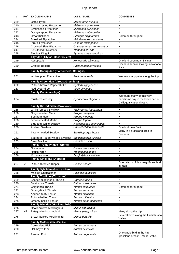| #          | Ref       | <b>ENGLISH NAME</b>                                                 | LATIN NAME                                | <b>COMMENTS</b>                                                  |
|------------|-----------|---------------------------------------------------------------------|-------------------------------------------|------------------------------------------------------------------|
| 239        |           | Cattle Tyrant                                                       | Machetornis rixosus                       | Χ                                                                |
| 240        |           | Brown-crested Flycatcher                                            | Myiarchus tyrannulus                      | X                                                                |
| 241        |           | Swainson's Flycatcher                                               | Myiarchus swainsoni                       | X                                                                |
| 242        |           | Dusky-capped Flycatcher                                             | Myiarchus tuberculifer                    | X                                                                |
| 243        |           | <b>Great Kiskadee</b>                                               | Pitangus sulphuratus                      | Common throughout                                                |
| 244        |           | <b>Streaked Flycatcher</b>                                          | Myiodynastes maculatus                    | Χ                                                                |
| 245        |           | Piratic Flycatcher                                                  | Legatus leucophaius                       | Х                                                                |
| 246        |           | Crowned Slaty-Flycatcher                                            | Griseotyrannus aurantioatroc.             | X                                                                |
| 247        |           | Fork-tailed Flycatcher                                              | Tyrannus savana                           | X                                                                |
| 248        |           | <b>Tropical Kingbird</b>                                            | Tyrannus melancholicus                    | $\overline{\mathsf{x}}$                                          |
|            |           | Tityridae (Tityras, Becards, etc)                                   |                                           |                                                                  |
| 249        |           | Xenopsaris                                                          | Xenopsaris albinucha                      | One bird seen near Salinas.                                      |
| 250        |           | <b>Crested Becard</b>                                               | Pachyramphus validus                      | One bird seen in Calilegua National                              |
|            |           |                                                                     |                                           | Park                                                             |
|            |           | <b>Family Cotingidae (Plantcutters, Cotingas)</b>                   |                                           |                                                                  |
| 251        |           | White-tipped Plantcutter                                            | Phytotoma rutila                          | We saw many pairs along the trip                                 |
|            |           |                                                                     |                                           |                                                                  |
|            |           | <b>Family Vireonidae (Vireos, Greenlets)</b>                        |                                           |                                                                  |
| 252        |           | Rufous-browed Peppershrike                                          | Cyclarhis gujanensis                      | X                                                                |
| 253        |           | Red-eyed Vireo                                                      | Vireo olivaceus                           | X                                                                |
|            |           | <b>Family Corvidae (Jays)</b>                                       |                                           |                                                                  |
|            |           |                                                                     |                                           | We found many of this very                                       |
| 254        |           | Plush-crested Jay                                                   | Cyanocorax chrysops                       | handsome Jay in the lower part of                                |
|            |           |                                                                     |                                           | Calilegua National Park.                                         |
|            |           | <b>Family Hirundinidae (Swallows)</b>                               |                                           |                                                                  |
| 255        |           | <b>White-rumped Swallow</b>                                         | Tachycineta leucorrhoa<br>Progne chalybea | Χ<br>X                                                           |
| 256        |           | Grey-breasted Martin                                                | Progne modesta                            |                                                                  |
| 257<br>258 |           | Southern Martin<br><b>Brown-chested Martin</b>                      | Progne tapera                             | Χ<br>X                                                           |
|            |           | <b>Blue-and-White Swallow</b>                                       | Notiochelidon cyanoleuca                  | X                                                                |
| 259<br>260 |           | Andean Swallow                                                      | Haplochelidon andaecola                   | One bird near Javi                                               |
|            |           |                                                                     |                                           |                                                                  |
| 261        |           | Tawny-headed Swallow                                                | Stelgidopteryx fucata                     | Many in a grassland area in<br>Cordoba                           |
| 262        |           | Southern Rough-winged Swallow                                       | Stelgidopteryx ruficollis                 | Χ                                                                |
| 263        |           | <b>Barn Swallow</b>                                                 | Hirundo rustica                           | X                                                                |
|            |           | <b>Family Troglodytidae (Wrens)</b>                                 |                                           |                                                                  |
| 264        |           | Grass Wren                                                          | Cistothorus platensis                     | $\overline{\mathsf{x}}$                                          |
| 265        |           | House Wren                                                          | Troglodytes aedon                         | $\overline{\mathsf{x}}$                                          |
| 266        |           | Mountain Wren                                                       | Troglodytes solstitialis                  | $\overline{\mathsf{x}}$                                          |
|            |           | <b>Family Cinclidae (Dippers)</b>                                   |                                           |                                                                  |
| 267        | VU        | Rufous-throated Dipper                                              | Cinclus schulzi                           | Great views of this magnificent bird                             |
|            |           |                                                                     |                                           | in Yala                                                          |
|            |           | <b>Family Sylviidae (Gnatcatchers)</b><br><b>Masked Gnatcatcher</b> |                                           | Χ                                                                |
| 268        |           | <b>Family Turdidae (Thrushes)</b>                                   | Polioptila dumicola                       |                                                                  |
| 269        |           | Spotted Nightingale-Thrush                                          | Catharus dryas                            | Χ                                                                |
| 270        |           | Swainson's Thrush                                                   | Catharus ustulatus                        | $\overline{\mathsf{x}}$                                          |
| 271        |           | Chiguanco Thrush                                                    | Turdus chiguanco                          | Common throughout                                                |
| 272        |           | Glossy-Black Thrush                                                 | Turdus serranus                           | Χ                                                                |
| 273        |           | Andean-Slaty Thrush                                                 | Turdus nigriceps                          | X                                                                |
| 274        |           | Rufous-bellied Thrush                                               | Turdus rufiventris                        | X                                                                |
| 275        |           | Creamy-bellied Thrush                                               | Turdus amaurochalinus                     | X                                                                |
|            |           | <b>Family Mimidae (Mockingbirds)</b>                                |                                           |                                                                  |
| 276        |           | Chalk-browed Mockingbird                                            | Mimus saturninus                          | X                                                                |
| 277        | <b>NE</b> | Patagonian Mockingbird                                              | Mimus patagonicus                         | Many along the trip.                                             |
|            |           |                                                                     |                                           | Several birds along the Humahuaca                                |
| 278        |           | Brown-backed Mockingbird                                            | Mimus dorsalis                            | Valley.                                                          |
|            |           | <b>Family Motacillidae (Pipits)</b>                                 |                                           |                                                                  |
| 279        |           | Correndera Pipit                                                    | Anthus correndera                         | Χ                                                                |
| 280        |           | Hellmayr's Pipit                                                    | Anthus hellmayri                          | $\overline{\mathsf{x}}$                                          |
| 281        |           | Paramo Pipit                                                        | Anthus bogotensis                         | One single bird in the high<br>grassland area in Tafi del Valle. |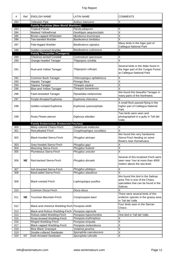| #          | Ref       | <b>ENGLISH NAME</b>                                  | <b>LATIN NAME</b>                                | <b>COMMENTS</b>                                                                                                         |
|------------|-----------|------------------------------------------------------|--------------------------------------------------|-------------------------------------------------------------------------------------------------------------------------|
| 282        |           | <b>Yellowish Pipit</b>                               | Anthus lutescens                                 | Χ                                                                                                                       |
|            |           | <b>Family Parulidae (New World Warblers)</b>         |                                                  |                                                                                                                         |
| 283        |           | <b>Tropical Parula</b>                               | Parula pitiayumi                                 | Χ                                                                                                                       |
| 284        |           | Masked Yellowthroat                                  | Geothlypis aequinoctialis                        | X                                                                                                                       |
| 285        |           | Brown-capped Whitestart                              | Myioborus brunniceps                             | X                                                                                                                       |
| 286        |           | Two-banded Warbler                                   | Basileuterus bivittatus                          | X                                                                                                                       |
| 287        |           | Pale-legged Warbler                                  | Basileuterus signatus                            | Many birds in the higer part of<br>Calilegua National Park                                                              |
| 288        |           | Golden-crowned Warbler                               | Basileuterus culicivorus                         | Χ                                                                                                                       |
|            |           | <b>Family Thraupidae (Tanagers)</b>                  |                                                  |                                                                                                                         |
| 289        |           | <b>Chestnut-vented Conebill</b>                      | Conirostrum speciosum                            | х                                                                                                                       |
| 290        |           | Orange-headed Tanager                                | Thlypopsis sordida                               | X                                                                                                                       |
| 291        |           | Rust-and-Yellow Tanager                              | Thlypopsis ruficeps                              | Several birds in the Alder forest in<br>the higer part of the Yungas Forest<br>at Calilegua National Park               |
| 292        |           | Common Bush-Tanager                                  | Chlorospingus ophtalmicus                        | Χ                                                                                                                       |
| 293        |           | <b>Hepatic Tanager</b>                               | Piranga flava                                    | $\overline{\mathsf{x}}$                                                                                                 |
| 294        |           | Sayaca Tanager                                       | Thraupis sayaca                                  | Χ                                                                                                                       |
| 295        |           | <b>Blue-and-Yellow Tanager</b>                       | Thraupis bonariensis                             | Χ                                                                                                                       |
| 296        |           |                                                      |                                                  | We found this beautiful Tanager in                                                                                      |
|            |           | Fawn-breasted Tanager                                | Pipraeidea melanonota                            | many parts of the Northwest.                                                                                            |
| 297        |           | Purple-throated Euphonia                             | Euphonia chlorotica                              | Χ                                                                                                                       |
| 298        |           | Golden-rumped Euphonia                               | Euphonia cyanocephala                            | A small flock passed flying in the<br>higher part of Calilegua National<br>Park                                         |
| 299        |           | <b>Rusty Flower-piercer</b>                          | Diglossa sittoides                               | Two birds were seen and<br>photographed in a gully in Tafi del<br>Valle.                                                |
|            |           | <b>Family Emberizidae (Emberizid Finches)</b>        |                                                  |                                                                                                                         |
|            |           |                                                      |                                                  |                                                                                                                         |
| 300        |           | Many-colored Chaco-Finch                             | Saltatricula multicolor                          | Х                                                                                                                       |
| 301        |           | Red-pileated Finch                                   | Coryphospingus cucullatus                        | X                                                                                                                       |
| 302        |           | Black-hooded Sierra-Finch                            | Phrygilus atriceps                               | We found this very handsome<br>Sierra-Finch feeding on some<br>flowers near Humahuaca.                                  |
| 303        |           | Grey-hooded Sierra-Finch                             | Phrygilus gayi                                   | Χ                                                                                                                       |
| 304        |           | Mourning Sierra-Finch                                | Phrygilus fruticeti                              | $\overline{\mathsf{x}}$                                                                                                 |
| 305        |           | Plumbeous Sierra-Finch                               | Phrygilus unicolor                               | X                                                                                                                       |
| 306        | <b>NE</b> | Red-backed Sierra-Finch                              | Phrygilus dorsalis                               | Several of this localized Finch were<br>seen near Yavi at more than 4000<br>meters above the sea level.                 |
| 307        |           | Ash-breasted Sierra-Finch                            | Phrygilus plebejus                               | Х                                                                                                                       |
| 308        |           | Band-tailed Sierra-Finch                             | Phrygilus alaudinus                              | Χ                                                                                                                       |
| 309        |           | <b>Black-crested Finch</b>                           | Lophospingus pusillus                            | We found this bird in the Salinas<br>area. This is one of the Chaco<br>specialties that can be found in the<br>Salinas. |
| 310        |           | Common Diuca-Finch                                   | Diuca diuca                                      | Χ                                                                                                                       |
| 311        | <b>NE</b> | Tucuman Mountain-Finch                               | Compsospiza baeri                                | There were several birds of this<br>endemic species in the grassy area<br>in Tafi del Valle                             |
| 312        |           | Black-and-chestnut Warbling-finch Poospiza whitii    |                                                  | Four birds seen in the Sierran<br>Chaco.                                                                                |
| 313        |           | Black-and-Rufous Warbling-Finch                      | Poospiza nigrorufa                               | Χ                                                                                                                       |
| 314        |           | Rufous-sided Warbling-Finch                          | Poospiza hypochondria                            | One bird in Tafi del Valle.                                                                                             |
| 315        |           | Rusty-browed Warbling-Finch                          | Poospiza erythrophrys                            | Χ                                                                                                                       |
| 316        |           | Ringed Warbling-Finch                                | Poospiza torquata                                | Χ                                                                                                                       |
| 317        |           | Black-capped Warbling-Finch                          | Poospiza melanoleuca                             | Χ                                                                                                                       |
| 318        |           | <b>Blue-Black Grassquit</b>                          | Volatinia jacarina                               | X                                                                                                                       |
| 319<br>320 | <b>NT</b> | Double-collared Seedeater<br>Dark-throated Seedeater | Sporophila caerulescens<br>Sporophila ruficollis | Χ<br>$\overline{\mathsf{x}}$                                                                                            |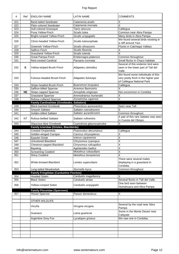| #   | Ref       | <b>ENGLISH NAME</b>                            | <b>LATIN NAME</b>          | <b>COMMENTS</b>                                                                                         |
|-----|-----------|------------------------------------------------|----------------------------|---------------------------------------------------------------------------------------------------------|
| 321 |           | <b>Band-tailed Seedeater</b>                   | Catamenia analis           | Χ                                                                                                       |
| 322 |           | Plain-colored Seedeater                        | Catamenia inornata         | X                                                                                                       |
| 323 |           | <b>Dull-colored Grassquit</b>                  | Tiaris obscura             | Calilegua                                                                                               |
| 324 |           | Puna Yellow-Finch                              | Sicalis lutea              | Common near Abra Pampa                                                                                  |
| 325 |           | <b>Bright-rumped Yellow-Finch</b>              | Sicalis uropygialis        | Many birds in Abra Pampa                                                                                |
| 326 |           | Citron-headed Yellow-Finch                     | Sicalis luteocephala       | We found several birds roosting in<br>a cliff around Yavi.                                              |
| 327 |           | Greenish Yellow-Finch                          | Sicalis olivascens         | Flocks in Calchaqui Valleys                                                                             |
| 328 |           | Saffron Finch                                  | Sicalis flaveola           | Χ                                                                                                       |
| 329 |           | Grassland Yellow-Finch                         | Sicalis luteola            | X                                                                                                       |
| 330 |           | <b>Great Pampa-Finch</b>                       | Embernagra platensis       | Common throughout                                                                                       |
| 331 |           | <b>Red-crested Cardinal</b>                    | Paroaria coronata          | Small flocks in Chaco habitats                                                                          |
| 332 | Е         | Yellow-striped Brush-Finch                     | Atlapetes citrinellus      | Several of this endemic bird were<br>seen in the lower part of Tafi del<br>Valle.                       |
| 333 |           | <b>Fulvous-headed Brush-Finch</b>              | Atlapetes fulviceps        | We found some individuals of this<br>very pretty finch in the higher part<br>of Calilegua National Park |
| 334 |           | Stripe-headed Brush-Finch                      | <b>Buarremon torquatus</b> | Calilegua                                                                                               |
| 335 |           | Saffron-billed Sparrow                         | Arremon flavirostris       | Χ                                                                                                       |
| 336 | <b>NE</b> | <b>Stripe-capped Sparrow</b>                   | Aimophila strigiceps       | Not uncommon in Cordoba                                                                                 |
| 337 |           | <b>Grassland Sparrow</b>                       | Ammodramus humeralis       | X                                                                                                       |
| 338 |           | Rufous-collared Sparrow                        | Zonotrichia capensis       | $\overline{\mathsf{x}}$                                                                                 |
|     |           | Family Cardinalidae (Grosbeaks, Saltators)     |                            |                                                                                                         |
| 339 |           | <b>Black-backed Grosbeak</b>                   | Pheucticus aureoventris    | Seen near Tafi                                                                                          |
| 340 |           | Greyish Saltator                               | Saltator coerulescens      | X                                                                                                       |
| 341 |           | <b>Golden-billed Saltator</b>                  | Saltator aurantiirostris   | Common throughout                                                                                       |
| 342 | <b>NT</b> | <b>Rufous-bellied Saltator</b>                 | Saltator rufiventris       | A pair of this rare Saltator was seen<br>in Cuesta del Obispo.                                          |
| 343 |           | Glaucous-blue Grosbeak                         | Cyanoloxia glaucocaerulea  | X                                                                                                       |
|     |           |                                                |                            |                                                                                                         |
|     |           | Family Icteridae (Orioles, Blackbirds)         |                            |                                                                                                         |
| 344 |           | <b>Crested Oropendola</b>                      | Psarocolius decumanus      | Calilegua                                                                                               |
| 345 |           | Golden-winged Cacique                          | Cacicus chrysopterus       | Χ                                                                                                       |
| 346 |           | <b>Epaulet Oriole</b>                          | Icterus cayanensis         | X                                                                                                       |
| 347 |           | <b>Unicolored Blackbird</b>                    | Chrysomus cyanopus         | X                                                                                                       |
| 348 |           | Chestnut-capped Blackbird                      | Chrysomus ruficapillus     | X                                                                                                       |
| 349 |           | <b>Baywing</b>                                 | Agelaioides badius         | х                                                                                                       |
| 350 |           | <b>Screaming Cowbird</b>                       | Molothrus rufoaxillaris    | $\overline{\mathsf{x}}$                                                                                 |
| 351 |           | Shiny Cowbird                                  | Molothrus bonariensis      | Χ                                                                                                       |
| 352 |           | White-browed Blackbird                         | Leistes superciliaris      | There were several males<br>displaying in a grassland in<br>Cordoba.                                    |
| 353 |           | Long-tailed Meadowlark                         | Sturnella loyca            | Common throughout                                                                                       |
|     |           | <b>Family Fringilidae (Cardueline Finches)</b> |                            |                                                                                                         |
| 354 |           | <b>Hooded Siskin</b>                           | Carduelis magellanica      | X                                                                                                       |
| 355 |           | <b>Black Siskin</b>                            | Carduelis atrata           | Several flocks in Tafi del Valle.                                                                       |
| 356 |           | Yellow-rumped Siskin                           | Carduelis uropygialis      | One bird seen between<br>Humahuaca and Abra Pampa                                                       |
|     |           | <b>Family Ploceidae (Sparrows)</b>             |                            |                                                                                                         |
| 357 |           | House Sparrow                                  | Passer domesticus          | Χ                                                                                                       |
|     |           |                                                |                            |                                                                                                         |
|     |           | OTHER WILDLIFE                                 |                            |                                                                                                         |
|     |           | Vicuña                                         | Vicugna vicugna            | Several by the road near Abra<br>Pampa                                                                  |
|     |           | Guanaco                                        | Lama guanicoe              | Some in the Monte Desert near<br>Cafayate                                                               |
|     |           | Argentine Grey Fox                             | Lycalopex griseus          | We saw one in Cordoba.                                                                                  |
|     |           |                                                |                            |                                                                                                         |
|     |           |                                                |                            |                                                                                                         |
|     |           |                                                |                            |                                                                                                         |
|     |           |                                                |                            |                                                                                                         |